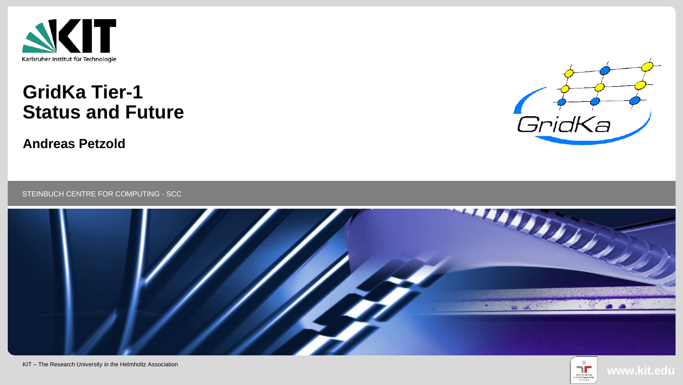

## **GridKa Tier-1 Status and Future**

**Andreas Petzold**



STEINBUCH CENTRE FOR COMPUTING - SCC



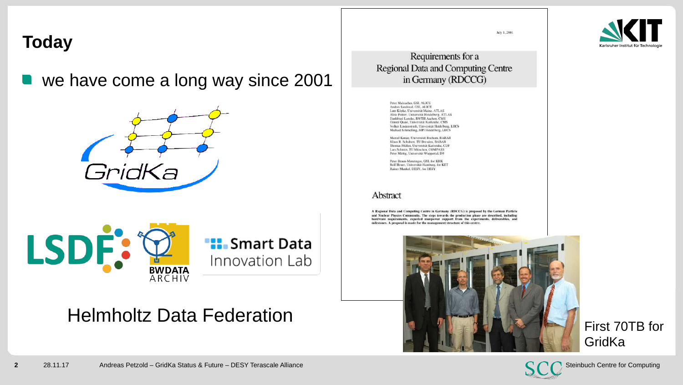#### **Today**

we have come a long way since 2001







### Helmholtz Data Federation

July 1, 2001

Requirements for a **Regional Data and Computing Centre** in Germany (RDCCG)

> Peter Malzacher, GSI, ALICE Andres Sandoval, GSI, ALICE Lutz Köpke, Universität Mainz, ATLAS Alois Putzer, Universität Heidelberg, ATLAS Dankfried Lanske, RWTH Aachen, CMS Günter Quast, Universität Karlsruhe, CMS Volker Lindenstruth, Universität Heidelberg, LHCb Michael Schmelling, MPI Heidelberg, LHCb

Marcel Kunze, Universität Bochum, BABAR Klaus R. Schubert, TU Dresden, BARAR Thomas Miller, Universität Karlsruhe, CDF Lars Schmitt, TU München, COMPASS Peter Mättig, Universität Wuppertal, DO

Peter Braun-Munzinger, GSI, for KHK<br>Rolf Heuer, Universität Hamburg, for KET Rainer Mankel, DESY, for DESY

#### Abstract

A Regional Data and Computing Centre in Germany (RDCCG) is proposed by the German Particle and Nuclear Physics Community. The steps towards the production phase are described, including hardware requirements, expected manpower support from the experiments, deliverables, and milestones. A proposal is made for the management structure of this centre



First 70TB for **GridKa** 



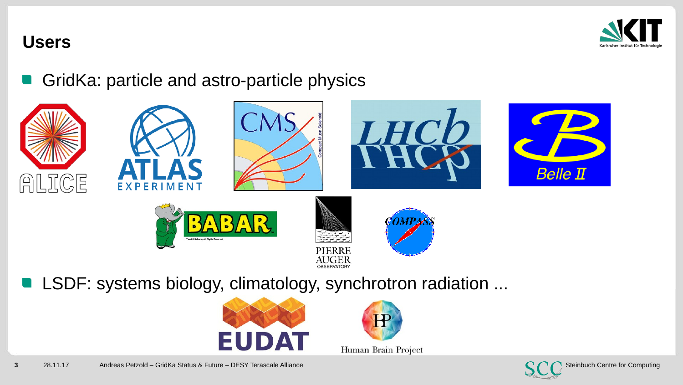

#### **Users**

GridKa: particle and astro-particle physics



**LSDF: systems biology, climatology, synchrotron radiation ...** 





Human Brain Project

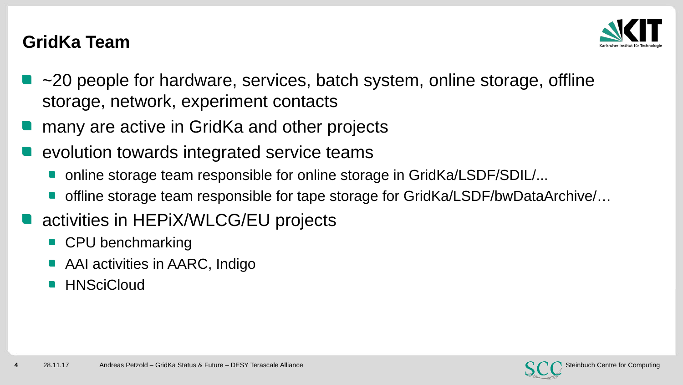

#### **GridKa Team**

- $\blacksquare$  ~20 people for hardware, services, batch system, online storage, offline storage, network, experiment contacts
- many are active in GridKa and other projects
- evolution towards integrated service teams
	- online storage team responsible for online storage in GridKa/LSDF/SDIL/...
- offline storage team responsible for tape storage for GridKa/LSDF/bwDataArchive/...
- activities in HEPiX/WLCG/EU projects
	- **CPU benchmarking**
	- AAI activities in AARC, Indigo
	- **HNSciCloud**

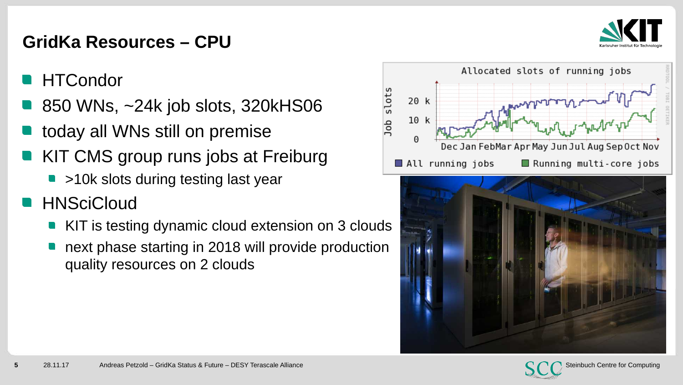

#### **GridKa Resources – CPU**

- **HTCondor**
- 850 WNs, ~24k job slots, 320kHS06
- today all WNs still on premise
- KIT CMS group runs jobs at Freiburg
	- >10k slots during testing last year
- **EXTINSTITUTS-, FANSCICLOUD** 
	- KIT is testing dynamic cloud extension on 3 clouds
	- next phase starting in 2018 will provide production quality resources on 2 clouds





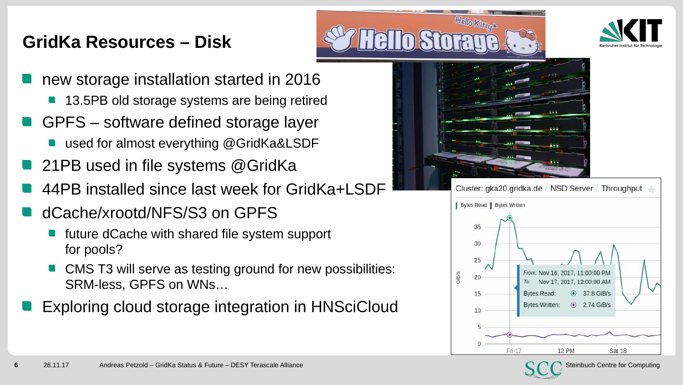## **GridKa Resources – Disk**





- new storage installation started in 2016
	- **13.5PB old storage systems are being retired**
- GPFS software defined storage layer
	- used for almost everything @GridKa&LSDF
- **21PB** used in file systems @GridKa
- 44PB installed since last week for GridKa+LSDF
- dCache/xrootd/NFS/S3 on GPFS
	- future dCache with shared file system support for pools?
	- CMS T3 will serve as testing ground for new possibilities: SRM-less, GPFS on WNs…
- Exploring cloud storage integration in HNSciCloud





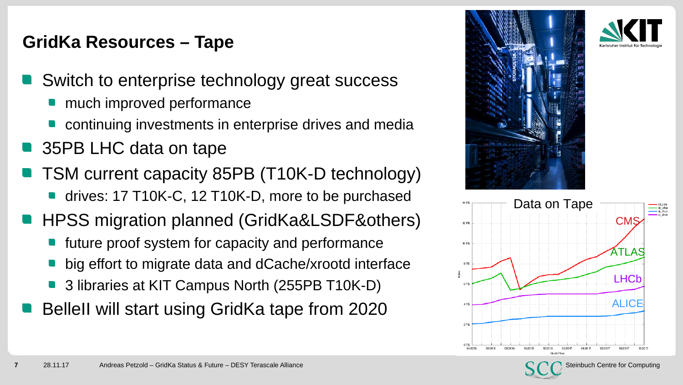### **GridKa Resources – Tape**

- Switch to enterprise technology great success
	- much improved performance
	- continuing investments in enterprise drives and media
- 35PB LHC data on tape
- TSM current capacity 85PB (T10K-D technology)
- **drives: 17 T10K-C, 12 T10K-D, more to be purchased**
- HPSS migration planned (GridKa&LSDF&others)
	- future proof system for capacity and performance
	- big effort to migrate data and dCache/xrootd interface
	- 3 libraries at KIT Campus North (255PB T10K-D)
- BelleII will start using GridKa tape from 2020





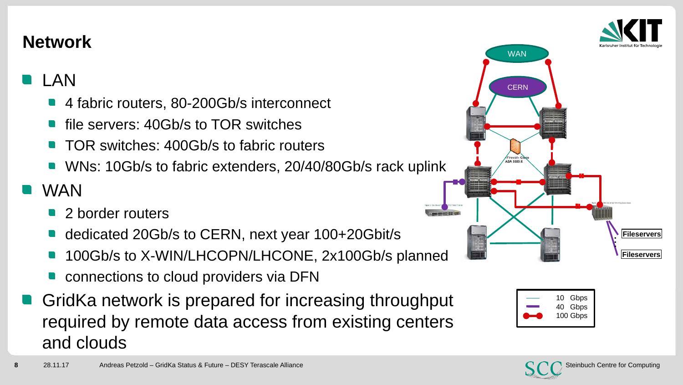#### **Network**

## LAN

- 4 fabric routers, 80-200Gb/s interconnect
- file servers: 40Gb/s to TOR switches  $\blacksquare$
- TOR switches: 400Gb/s to fabric routers
- WNs: 10Gb/s to fabric extenders, 20/40/80Gb/s rack uplink

#### INSTITUTS-, FAKULTÄTS-, ABTEILUNGSNAME (in der Masteransicht ändern) (in der Masteransicht ändern) (in der Mas<br>Instituts- in der Masteransicht ändern) (in der Masteransicht ändern) (in der Masteransicht ändern) (in der Ma WAN

- $\mathcal{L}(\mathcal{A})$ 2 border routers
- dedicated 20Gb/s to CERN, next year 100+20Gbit/s
- 100Gb/s to X-WIN/LHCOPN/LHCONE, 2x100Gb/s planned
- connections to cloud providers via DFN
- GridKa network is prepared for increasing throughput required by remote data access from existing centers and clouds







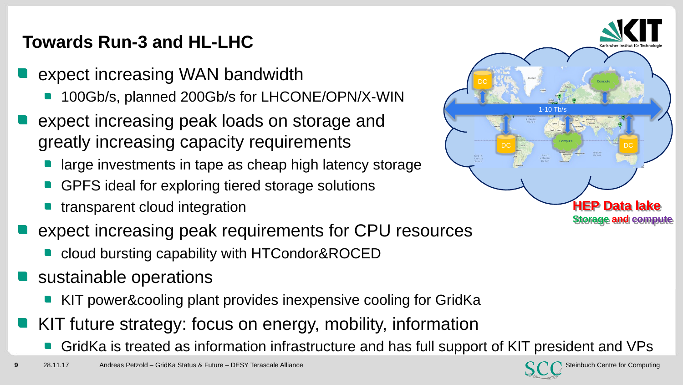## **Towards Run-3 and HL-LHC**

- expect increasing WAN bandwidth
	- 100Gb/s, planned 200Gb/s for LHCONE/OPN/X-WIN
- expect increasing peak loads on storage and greatly increasing capacity requirements
	- large investments in tape as cheap high latency storage
	- GPFS ideal for exploring tiered storage solutions
- **n** transparent cloud integration
- expect increasing peak requirements for CPU resources
	- **cloud bursting capability with HTCondor&ROCED**
- sustainable operations
	- KIT power&cooling plant provides inexpensive cooling for GridKa
- KIT future strategy: focus on energy, mobility, information
	- GridKa is treated as information infrastructure and has full support of KIT president and VPs